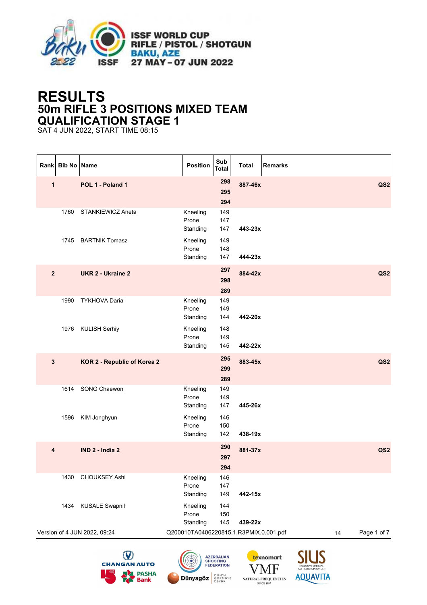

## **RESULTS 50m RIFLE 3 POSITIONS MIXED TEAM QUALIFICATION STAGE 1**

SAT 4 JUN 2022, START TIME 08:15

|              | Rank Bib No Name |                              | <b>Position</b>                        | Sub<br><b>Total</b>                                 | <b>Total</b> | <b>Remarks</b>              |                 |
|--------------|------------------|------------------------------|----------------------------------------|-----------------------------------------------------|--------------|-----------------------------|-----------------|
| $\mathbf{1}$ |                  | POL 1 - Poland 1             |                                        | 298<br>295<br>294                                   | 887-46x      |                             | QS <sub>2</sub> |
|              |                  | 1760 STANKIEWICZ Aneta       | Kneeling<br>Prone<br>Standing          | 149<br>147<br>147                                   | 443-23x      |                             |                 |
|              |                  | 1745 BARTNIK Tomasz          | Kneeling<br>Prone<br>Standing          | 149<br>148<br>147                                   | 444-23x      |                             |                 |
| $\mathbf{2}$ |                  | <b>UKR 2 - Ukraine 2</b>     |                                        | 297<br>298<br>289                                   | 884-42x      |                             | QS <sub>2</sub> |
|              | 1990             | <b>TYKHOVA Daria</b>         | Kneeling<br>Prone<br>Standing          | 149<br>149<br>144                                   | 442-20x      |                             |                 |
|              |                  | 1976 KULISH Serhiy           | Kneeling<br>Prone<br>Standing          | 148<br>149<br>145                                   | 442-22x      |                             |                 |
| $\mathbf{3}$ |                  | KOR 2 - Republic of Korea 2  |                                        | 295<br>299<br>289                                   | 883-45x      |                             | QS <sub>2</sub> |
|              | 1614             | <b>SONG Chaewon</b>          | Kneeling<br>Prone<br>Standing          | 149<br>149<br>147                                   | 445-26x      |                             |                 |
|              | 1596             | KIM Jonghyun                 | Kneeling<br>Prone<br>Standing          | 146<br>150<br>142                                   | 438-19x      |                             |                 |
| 4            |                  | IND 2 - India 2              |                                        | 290<br>297<br>294                                   | 881-37x      |                             | QS <sub>2</sub> |
|              | 1430             | <b>CHOUKSEY Ashi</b>         | Kneeling<br>Prone<br>Standing          | 146<br>147<br>149                                   | 442-15x      |                             |                 |
|              | 1434             | <b>KUSALE Swapnil</b>        | Kneeling<br>Prone<br>Standing          | 144<br>150<br>145                                   | 439-22x      |                             |                 |
|              |                  | Version of 4 JUN 2022, 09:24 | Q200010TA0406220815.1.R3PMIX.0.001.pdf |                                                     |              | 14                          | Page 1 of 7     |
|              |                  | <b>CHANGAN AUTO</b>          |                                        | <b>AZERBAIJAN<br/>SHOOTING</b><br><b>FEDERATION</b> |              | texnomart<br><b>TTM ETM</b> |                 |







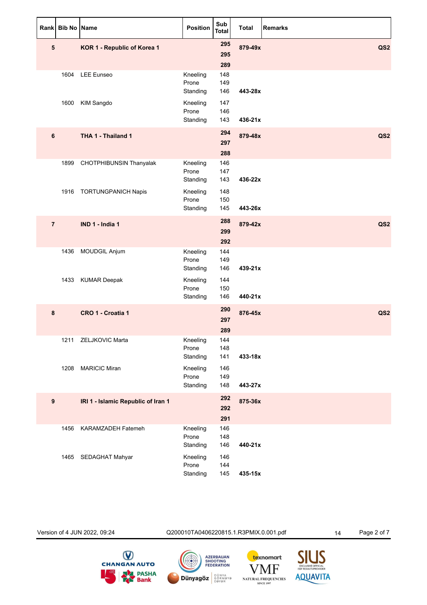|                | Rank Bib No Name |                                    | <b>Position</b>               | Sub<br><b>Total</b> | <b>Total</b> | <b>Remarks</b>  |
|----------------|------------------|------------------------------------|-------------------------------|---------------------|--------------|-----------------|
| 5              |                  | KOR 1 - Republic of Korea 1        |                               | 295<br>295<br>289   | 879-49x      | QS <sub>2</sub> |
|                |                  | 1604 LEE Eunseo                    | Kneeling<br>Prone<br>Standing | 148<br>149<br>146   | 443-28x      |                 |
|                | 1600             | <b>KIM Sangdo</b>                  | Kneeling<br>Prone<br>Standing | 147<br>146<br>143   | 436-21x      |                 |
| 6              |                  | THA 1 - Thailand 1                 |                               | 294<br>297<br>288   | 879-48x      | QS <sub>2</sub> |
|                |                  | 1899 CHOTPHIBUNSIN Thanyalak       | Kneeling<br>Prone<br>Standing | 146<br>147<br>143   | 436-22x      |                 |
|                |                  | 1916 TORTUNGPANICH Napis           | Kneeling<br>Prone<br>Standing | 148<br>150<br>145   | 443-26x      |                 |
| $\overline{7}$ |                  | IND 1 - India 1                    |                               | 288<br>299<br>292   | 879-42x      | QS2             |
|                | 1436             | MOUDGIL Anjum                      | Kneeling<br>Prone<br>Standing | 144<br>149<br>146   | 439-21x      |                 |
|                |                  | 1433 KUMAR Deepak                  | Kneeling<br>Prone<br>Standing | 144<br>150<br>146   | 440-21x      |                 |
| 8              |                  | CRO 1 - Croatia 1                  |                               | 290<br>297<br>289   | 876-45x      | QS <sub>2</sub> |
|                |                  | 1211 ZELJKOVIC Marta               | Kneeling<br>Prone<br>Standing | 144<br>148<br>141   | 433-18x      |                 |
|                | 1208             | <b>MARICIC Miran</b>               | Kneeling<br>Prone<br>Standing | 146<br>149<br>148   | 443-27x      |                 |
| 9              |                  | IRI 1 - Islamic Republic of Iran 1 |                               | 292<br>292<br>291   | 875-36x      |                 |
|                | 1456             | KARAMZADEH Fatemeh                 | Kneeling<br>Prone<br>Standing | 146<br>148<br>146   | 440-21x      |                 |
|                | 1465             | SEDAGHAT Mahyar                    | Kneeling<br>Prone<br>Standing | 146<br>144<br>145   | 435-15x      |                 |

Version of 4 JUN 2022, 09:24 Q200010TA0406220815.1.R3PMIX.0.001.pdf 14 Page 2 of 7SIUS<br>EXCLUSIVE OFFICIAL<br>ISSE RESULTS PROVIDER **CHANGAN AUTO**  $\bigcirc$ **AZERBAIJAN<br>SHOOTING<br>FEDERATION** texnomart VMF **DA** PASHA **AQUAVITA Dünyagöz** BÖNYA NATURAL FREQUENCIES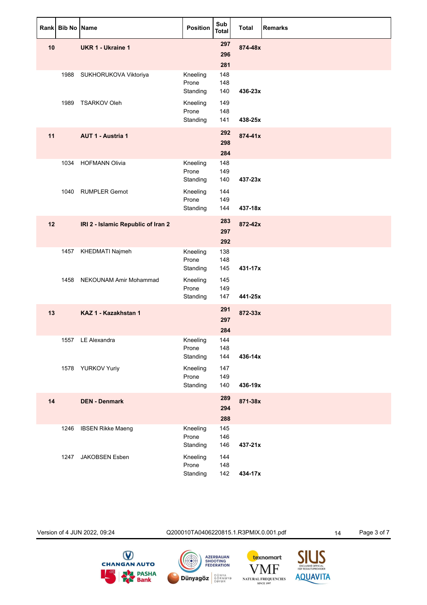|    | Rank Bib No Name |                                    | Position                      | Sub<br><b>Total</b> | <b>Total</b> | <b>Remarks</b> |
|----|------------------|------------------------------------|-------------------------------|---------------------|--------------|----------------|
| 10 |                  | <b>UKR 1 - Ukraine 1</b>           |                               | 297<br>296<br>281   | 874-48x      |                |
|    |                  | 1988 SUKHORUKOVA Viktoriya         | Kneeling<br>Prone<br>Standing | 148<br>148<br>140   | 436-23x      |                |
|    | 1989             | <b>TSARKOV Oleh</b>                | Kneeling<br>Prone<br>Standing | 149<br>148<br>141   | 438-25x      |                |
| 11 |                  | <b>AUT 1 - Austria 1</b>           |                               | 292<br>298<br>284   | 874-41x      |                |
|    | 1034             | <b>HOFMANN Olivia</b>              | Kneeling<br>Prone<br>Standing | 148<br>149<br>140   | 437-23x      |                |
|    |                  | 1040 RUMPLER Gernot                | Kneeling<br>Prone<br>Standing | 144<br>149<br>144   | 437-18x      |                |
| 12 |                  | IRI 2 - Islamic Republic of Iran 2 |                               | 283<br>297<br>292   | 872-42x      |                |
|    | 1457             | KHEDMATI Najmeh                    | Kneeling<br>Prone<br>Standing | 138<br>148<br>145   | 431-17x      |                |
|    | 1458             | NEKOUNAM Amir Mohammad             | Kneeling<br>Prone<br>Standing | 145<br>149<br>147   | 441-25x      |                |
| 13 |                  | KAZ 1 - Kazakhstan 1               |                               | 291<br>297<br>284   | 872-33x      |                |
|    |                  | 1557 LE Alexandra                  | Kneeling<br>Prone<br>Standing | 144<br>148<br>144   | 436-14x      |                |
|    |                  | 1578 YURKOV Yuriy                  | Kneeling<br>Prone<br>Standing | 147<br>149<br>140   | 436-19x      |                |
| 14 |                  | <b>DEN - Denmark</b>               |                               | 289<br>294<br>288   | 871-38x      |                |
|    | 1246             | <b>IBSEN Rikke Maeng</b>           | Kneeling<br>Prone<br>Standing | 145<br>146<br>146   | 437-21x      |                |
|    | 1247             | JAKOBSEN Esben                     | Kneeling<br>Prone<br>Standing | 144<br>148<br>142   | 434-17x      |                |

Version of 4 JUN 2022, 09:24 Q200010TA0406220815.1.R3PMIX.0.001.pdf 14 Page 3 of 7SIUS<br>EXCLUSIVE OFFICIAL<br>ISSE RESULTS PROVIDER **CHANGAN AUTO**  $\bigcirc$ **AZERBAIJAN<br>SHOOTING<br>FEDERATION** texnomart VMF **DA** PASHA **AQUAVITA Dünyagöz** BÖNYA NATURAL FREQUENCIES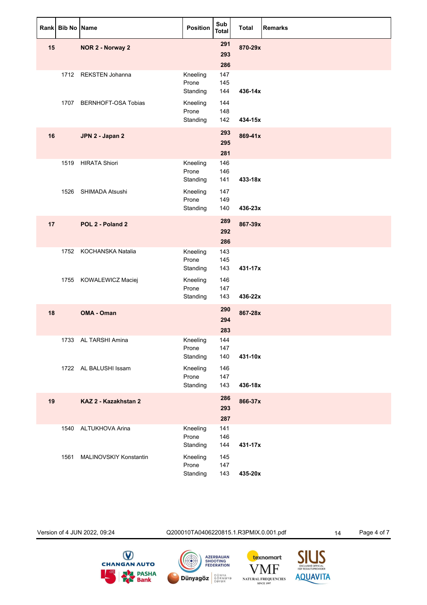|    | Rank Bib No Name |                          | Position                      | Sub<br><b>Total</b> | <b>Total</b> | <b>Remarks</b> |
|----|------------------|--------------------------|-------------------------------|---------------------|--------------|----------------|
| 15 |                  | NOR 2 - Norway 2         |                               | 291<br>293<br>286   | 870-29x      |                |
|    |                  | 1712 REKSTEN Johanna     | Kneeling<br>Prone<br>Standing | 147<br>145<br>144   | 436-14x      |                |
|    |                  | 1707 BERNHOFT-OSA Tobias | Kneeling<br>Prone<br>Standing | 144<br>148<br>142   | 434-15x      |                |
| 16 |                  | JPN 2 - Japan 2          |                               | 293<br>295<br>281   | 869-41x      |                |
|    |                  | 1519 HIRATA Shiori       | Kneeling<br>Prone<br>Standing | 146<br>146<br>141   | 433-18x      |                |
|    |                  | 1526 SHIMADA Atsushi     | Kneeling<br>Prone<br>Standing | 147<br>149<br>140   | 436-23x      |                |
| 17 |                  | POL 2 - Poland 2         |                               | 289<br>292<br>286   | 867-39x      |                |
|    | 1752             | KOCHANSKA Natalia        | Kneeling<br>Prone<br>Standing | 143<br>145<br>143   | 431-17x      |                |
|    |                  | 1755 KOWALEWICZ Maciej   | Kneeling<br>Prone<br>Standing | 146<br>147<br>143   | 436-22x      |                |
| 18 |                  | OMA - Oman               |                               | 290<br>294<br>283   | 867-28x      |                |
|    |                  | 1733 AL TARSHI Amina     | Kneeling<br>Prone<br>Standing | 144<br>147<br>140   | 431-10x      |                |
|    |                  | 1722 AL BALUSHI Issam    | Kneeling<br>Prone<br>Standing | 146<br>147<br>143   | 436-18x      |                |
| 19 |                  | KAZ 2 - Kazakhstan 2     |                               | 286<br>293<br>287   | 866-37x      |                |
|    | 1540             | ALTUKHOVA Arina          | Kneeling<br>Prone<br>Standing | 141<br>146<br>144   | 431-17x      |                |
|    | 1561             | MALINOVSKIY Konstantin   | Kneeling<br>Prone<br>Standing | 145<br>147<br>143   | 435-20x      |                |

Version of 4 JUN 2022, 09:24 Q200010TA0406220815.1.R3PMIX.0.001.pdf 14 Page 4 of 7SIUS<br>EXCLUSIVE OFFICIAL<br>ISSE RESULTS PROVIDER **CHANGAN AUTO**  $\bigcirc$ **AZERBAIJAN<br>SHOOTING<br>FEDERATION** texnomart VMF **PASHA**<br>**Bank AQUAVITA Dünyagöz** BÖNYA NATURAL FREQUENCIES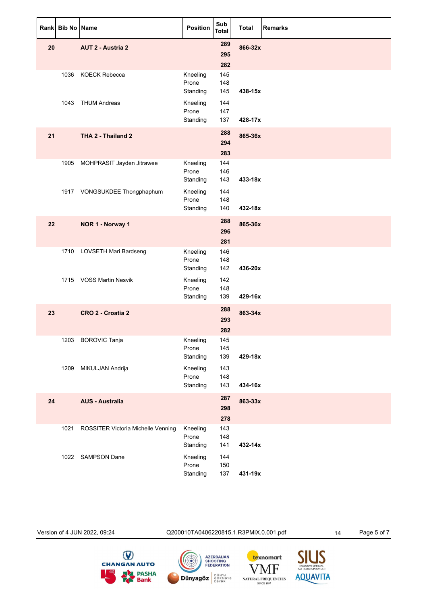| Rank | <b>Bib No Name</b> |                                    | <b>Position</b>               | Sub<br><b>Total</b> | <b>Total</b> | <b>Remarks</b> |
|------|--------------------|------------------------------------|-------------------------------|---------------------|--------------|----------------|
| 20   |                    | <b>AUT 2 - Austria 2</b>           |                               | 289<br>295<br>282   | 866-32x      |                |
|      |                    | 1036 KOECK Rebecca                 | Kneeling<br>Prone<br>Standing | 145<br>148<br>145   | 438-15x      |                |
|      |                    | 1043 THUM Andreas                  | Kneeling<br>Prone<br>Standing | 144<br>147<br>137   | 428-17x      |                |
| 21   |                    | THA 2 - Thailand 2                 |                               | 288<br>294<br>283   | 865-36x      |                |
|      |                    | 1905 MOHPRASIT Jayden Jitrawee     | Kneeling<br>Prone<br>Standing | 144<br>146<br>143   | 433-18x      |                |
|      |                    | 1917 VONGSUKDEE Thongphaphum       | Kneeling<br>Prone<br>Standing | 144<br>148<br>140   | 432-18x      |                |
| 22   |                    | NOR 1 - Norway 1                   |                               | 288<br>296<br>281   | 865-36x      |                |
|      |                    | 1710 LOVSETH Mari Bardseng         | Kneeling<br>Prone<br>Standing | 146<br>148<br>142   | 436-20x      |                |
|      |                    | 1715 VOSS Martin Nesvik            | Kneeling<br>Prone<br>Standing | 142<br>148<br>139   | 429-16x      |                |
| 23   |                    | CRO 2 - Croatia 2                  |                               | 288<br>293<br>282   | 863-34x      |                |
|      |                    | 1203 BOROVIC Tanja                 | Kneeling<br>Prone<br>Standing | 145<br>145<br>139   | 429-18x      |                |
|      | 1209               | MIKULJAN Andrija                   | Kneeling<br>Prone<br>Standing | 143<br>148<br>143   | 434-16x      |                |
| 24   |                    | <b>AUS - Australia</b>             |                               | 287<br>298<br>278   | 863-33x      |                |
|      | 1021               | ROSSITER Victoria Michelle Venning | Kneeling<br>Prone<br>Standing | 143<br>148<br>141   | 432-14x      |                |
|      | 1022               | <b>SAMPSON Dane</b>                | Kneeling<br>Prone<br>Standing | 144<br>150<br>137   | 431-19x      |                |

Version of 4 JUN 2022, 09:24 Q200010TA0406220815.1.R3PMIX.0.001.pdf 14 Page 5 of 7







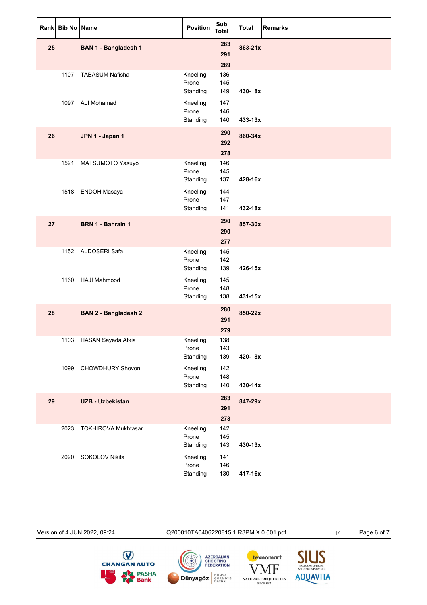|    | Rank Bib No Name |                             | Position                      | Sub<br><b>Total</b> | <b>Total</b> | <b>Remarks</b> |
|----|------------------|-----------------------------|-------------------------------|---------------------|--------------|----------------|
| 25 |                  | <b>BAN 1 - Bangladesh 1</b> |                               | 283<br>291<br>289   | 863-21x      |                |
|    |                  | 1107 TABASUM Nafisha        | Kneeling<br>Prone<br>Standing | 136<br>145<br>149   | 430-8x       |                |
|    | 1097             | ALI Mohamad                 | Kneeling<br>Prone<br>Standing | 147<br>146<br>140   | 433-13x      |                |
| 26 |                  | JPN 1 - Japan 1             |                               | 290<br>292<br>278   | 860-34x      |                |
|    |                  | 1521 MATSUMOTO Yasuyo       | Kneeling<br>Prone<br>Standing | 146<br>145<br>137   | 428-16x      |                |
|    | 1518             | <b>ENDOH Masaya</b>         | Kneeling<br>Prone<br>Standing | 144<br>147<br>141   | 432-18x      |                |
| 27 |                  | BRN 1 - Bahrain 1           |                               | 290<br>290<br>277   | 857-30x      |                |
|    |                  | 1152 ALDOSERI Safa          | Kneeling<br>Prone<br>Standing | 145<br>142<br>139   | 426-15x      |                |
|    | 1160             | <b>HAJI Mahmood</b>         | Kneeling<br>Prone<br>Standing | 145<br>148<br>138   | 431-15x      |                |
| 28 |                  | <b>BAN 2 - Bangladesh 2</b> |                               | 280<br>291<br>279   | 850-22x      |                |
|    |                  | 1103 HASAN Sayeda Atkia     | Kneeling<br>Prone<br>Standing | 138<br>143<br>139   | 420-8x       |                |
|    | 1099             | CHOWDHURY Shovon            | Kneeling<br>Prone<br>Standing | 142<br>148<br>140   | 430-14x      |                |
| 29 |                  | <b>UZB - Uzbekistan</b>     |                               | 283<br>291<br>273   | 847-29x      |                |
|    | 2023             | <b>TOKHIROVA Mukhtasar</b>  | Kneeling<br>Prone<br>Standing | 142<br>145<br>143   | 430-13x      |                |
|    | 2020             | SOKOLOV Nikita              | Kneeling<br>Prone<br>Standing | 141<br>146<br>130   | 417-16x      |                |

Version of 4 JUN 2022, 09:24 Q200010TA0406220815.1.R3PMIX.0.001.pdf 14 Page 6 of 7SIUS<br>EXCLUSIVE OFFICIAL<br>ISSE RESULTS PROVIDER **CHANGAN AUTO**  $\bigcirc$ **AZERBAIJAN<br>SHOOTING<br>FEDERATION** texnomart VMF **DA** PASHA **AQUAVITA Dünyagöz** BÖNYA NATURAL FREQUENCIES